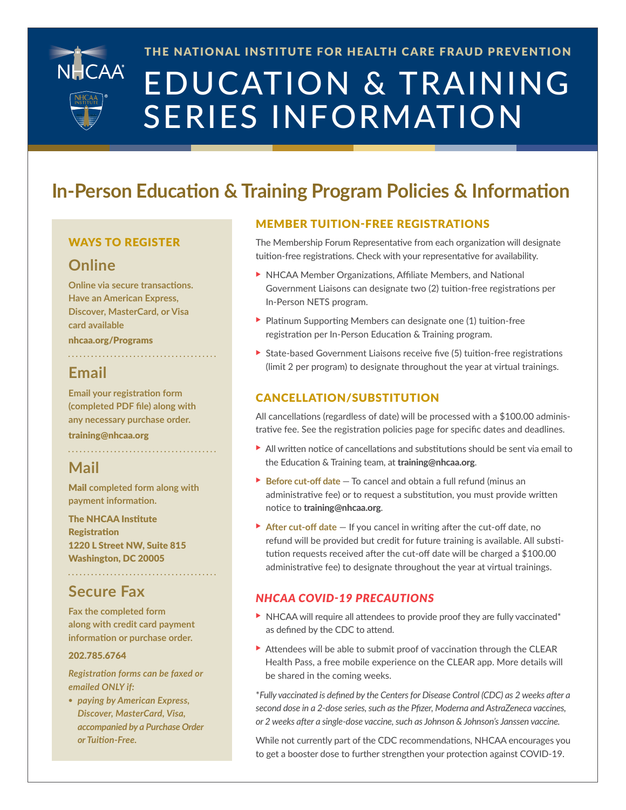# **NHCAA**

# THE NATIONAL INSTITUTE FOR HEALTH CARE FRAUD PREVENTION EDUCATION & TRAINING SERIES INFORMATION

# **In-Person Education & Training Program Policies & Information**

#### WAYS TO REGISTER

## **Online**

**Online via secure transactions. Have an American Express, Discover, MasterCard, or Visa card available**

[nhcaa.org/Programs](http://nhcaa.org/VirtualPrograms)

# **Email**

**Email your registration form (completed PDF file) along with any necessary purchase order.**

[training@nhcaa.org](http://nhcaa.org/inpersonprograms)

# **Mail**

Mail **completed form along with payment information.**

The NHCAA Institute **Registration** 1220 L Street NW, Suite 815 Washington, DC 20005

# **Secure Fax**

**Fax the completed form along with credit card payment information or purchase order.**

#### 202.785.6764

*Registration forms can be faxed or emailed ONLY if:* 

*• paying by American Express, Discover, MasterCard, Visa, accompanied by a Purchase Order or Tuition-Free.*

## MEMBER TUITION-FREE REGISTRATIONS

The Membership Forum Representative from each organization will designate tuition-free registrations. Check with your representative for availability.

- $\triangleright$  NHCAA Member Organizations, Affiliate Members, and National Government Liaisons can designate two (2) tuition-free registrations per In-Person NETS program.
- $\blacktriangleright$  Platinum Supporting Members can designate one (1) tuition-free registration per In-Person Education & Training program.
- State-based Government Liaisons receive five  $(5)$  tuition-free registrations (limit 2 per program) to designate throughout the year at virtual trainings.

## CANCELLATION/SUBSTITUTION

All cancellations (regardless of date) will be processed with a \$100.00 administrative fee. See the registration policies page for specific dates and deadlines.

- $\blacktriangleright$  All written notice of cancellations and substitutions should be sent via email to the Education & Training team, at **[training@nhcaa.org](mailto:training%40nhcaa.org?subject=)**.
- ▶ Before cut-off date To cancel and obtain a full refund (minus an administrative fee) or to request a substitution, you must provide written notice to **[training@nhcaa.org](mailto:%20training%40nhcaa.org?subject=Cancellation/Substitution)**.
- ▶ After cut-off date If you cancel in writing after the cut-off date, no refund will be provided but credit for future training is available. All substitution requests received after the cut-off date will be charged a \$100.00 administrative fee) to designate throughout the year at virtual trainings.

## *NHCAA COVID-19 PRECAUTIONS*

- $\blacktriangleright$  NHCAA will require all attendees to provide proof they are fully vaccinated\* as defined by the CDC to attend.
- $\triangleright$  Attendees will be able to submit proof of vaccination through the CLEAR Health Pass, a free mobile experience on the CLEAR app. More details will be shared in the coming weeks.

\**Fully vaccinated is defined by the Centers for Disease Control (CDC) as 2 weeks after a second dose in a 2-dose series, such as the Pfizer, Moderna and AstraZeneca vaccines, or 2 weeks after a single-dose vaccine, such as Johnson & Johnson's Janssen vaccine.*

While not currently part of the CDC recommendations, NHCAA encourages you to get a booster dose to further strengthen your protection against COVID-19.